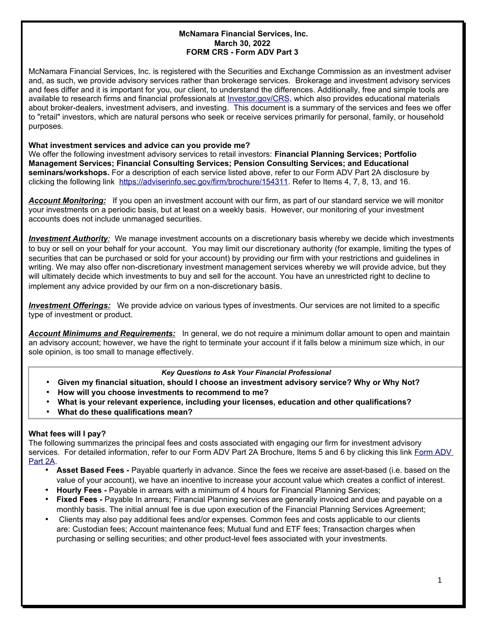## **McNamara Financial Services, Inc. March 30, 2022 FORM CRS - Form ADV Part 3**

McNamara Financial Services, Inc. is registered with the Securities and Exchange Commission as an investment adviser and, as such, we provide advisory services rather than brokerage services. Brokerage and investment advisory services and fees differ and it is important for you, our client, to understand the differences. Additionally, free and simple tools are available to research firms and financial professionals at [Investor.gov/CRS,](http://www.Investor.gov/CRS) which also provides educational materials about broker-dealers, investment advisers, and investing. This document is a summary of the services and fees we offer to "retail" investors, which are natural persons who seek or receive services primarily for personal, family, or household purposes.

## **What investment services and advice can you provide me?**

We offer the following investment advisory services to retail investors: **Financial Planning Services; Portfolio Management Services; Financial Consulting Services; Pension Consulting Services; and Educational seminars/workshops.** For a description of each service listed above, refer to our Form ADV Part 2A disclosure by clicking the following link [https://adviserinfo.sec.gov/firm/brochure/154311.](https://adviserinfo.sec.gov/firm/brochure/154311) Refer to Items 4, 7, 8, 13, and 16.

*Account Monitoring:* If you open an investment account with our firm, as part of our standard service we will monitor your investments on a periodic basis, but at least on a weekly basis. However, our monitoring of your investment accounts does not include unmanaged securities.

 *Investment Authority:* We manage investment accounts on a discretionary basis whereby we decide which investments to buy or sell on your behalf for your account. You may limit our discretionary authority (for example, limiting the types of securities that can be purchased or sold for your account) by providing our firm with your restrictions and guidelines in writing. We may also offer non-discretionary investment management services whereby we will provide advice, but they will ultimately decide which investments to buy and sell for the account. You have an unrestricted right to decline to implement any advice provided by our firm on a non-discretionary basis.

 *Investment Offerings:* We provide advice on various types of investments. Our services are not limited to a specific type of investment or product.

*Account Minimums and Requirements:* In general, we do not require a minimum dollar amount to open and maintain an advisory account; however, we have the right to terminate your account if it falls below a minimum size which, in our sole opinion, is too small to manage effectively.

### *Key Questions to Ask Your Financial Professional*

- **Given my financial situation, should I choose an investment advisory service? Why or Why Not?**
- **How will you choose investments to recommend to me?**
- **What is your relevant experience, including your licenses, education and other qualifications?**
- **What do these qualifications mean?**

# **What fees will I pay?**

The following summarizes the principal fees and costs associated with engaging our firm for investment advisory services. For detailed information, refer to our [Form ADV](https://adviserinfo.sec.gov/firm/brochure/154311) Part 2A Brochure, Items 5 and 6 by clicking this link Form ADV [Part 2A.](https://adviserinfo.sec.gov/firm/brochure/154311)

- **Asset Based Fees -** Payable quarterly in advance. Since the fees we receive are asset-based (i.e. based on the value of your account), we have an incentive to increase your account value which creates a conflict of interest.
- **Hourly Fees -** Payable in arrears with a minimum of 4 hours for Financial Planning Services;
- **Fixed Fees -** Payable In arrears; Financial Planning services are generally invoiced and due and payable on a monthly basis. The initial annual fee is due upon execution of the Financial Planning Services Agreement;
- Clients may also pay additional fees and/or expenses. Common fees and costs applicable to our clients are: Custodian fees; Account maintenance fees; Mutual fund and ETF fees; Transaction charges when purchasing or selling securities; and other product-level fees associated with your investments.